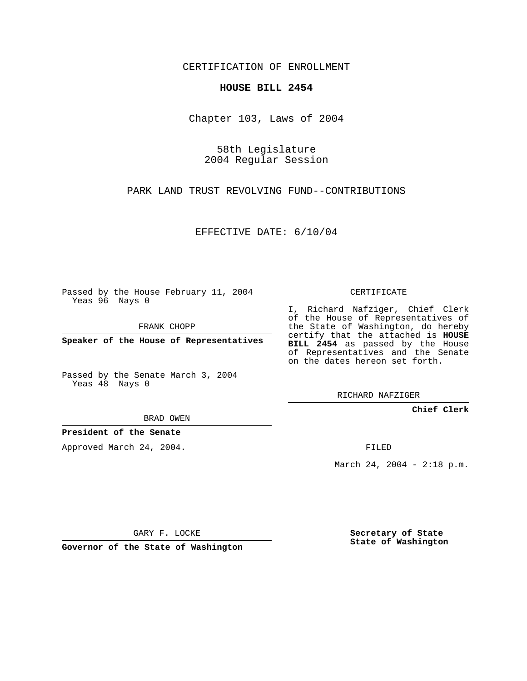CERTIFICATION OF ENROLLMENT

## **HOUSE BILL 2454**

Chapter 103, Laws of 2004

58th Legislature 2004 Regular Session

PARK LAND TRUST REVOLVING FUND--CONTRIBUTIONS

EFFECTIVE DATE: 6/10/04

Passed by the House February 11, 2004 Yeas 96 Nays 0

FRANK CHOPP

**Speaker of the House of Representatives**

Passed by the Senate March 3, 2004 Yeas 48 Nays 0

BRAD OWEN

**President of the Senate**

Approved March 24, 2004.

CERTIFICATE

I, Richard Nafziger, Chief Clerk of the House of Representatives of the State of Washington, do hereby certify that the attached is **HOUSE BILL 2454** as passed by the House of Representatives and the Senate on the dates hereon set forth.

RICHARD NAFZIGER

**Chief Clerk**

FILED

March 24, 2004 - 2:18 p.m.

GARY F. LOCKE

**Governor of the State of Washington**

**Secretary of State State of Washington**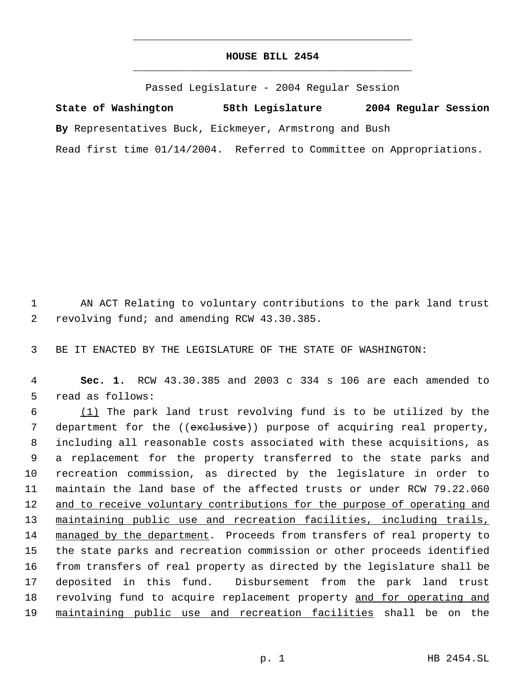## **HOUSE BILL 2454** \_\_\_\_\_\_\_\_\_\_\_\_\_\_\_\_\_\_\_\_\_\_\_\_\_\_\_\_\_\_\_\_\_\_\_\_\_\_\_\_\_\_\_\_\_

\_\_\_\_\_\_\_\_\_\_\_\_\_\_\_\_\_\_\_\_\_\_\_\_\_\_\_\_\_\_\_\_\_\_\_\_\_\_\_\_\_\_\_\_\_

Passed Legislature - 2004 Regular Session

**State of Washington 58th Legislature 2004 Regular Session By** Representatives Buck, Eickmeyer, Armstrong and Bush Read first time 01/14/2004. Referred to Committee on Appropriations.

 1 AN ACT Relating to voluntary contributions to the park land trust 2 revolving fund; and amending RCW 43.30.385.

3 BE IT ENACTED BY THE LEGISLATURE OF THE STATE OF WASHINGTON:

 4 **Sec. 1.** RCW 43.30.385 and 2003 c 334 s 106 are each amended to 5 read as follows:

 6 (1) The park land trust revolving fund is to be utilized by the 7 department for the ((exclusive)) purpose of acquiring real property, 8 including all reasonable costs associated with these acquisitions, as 9 a replacement for the property transferred to the state parks and 10 recreation commission, as directed by the legislature in order to 11 maintain the land base of the affected trusts or under RCW 79.22.060 12 and to receive voluntary contributions for the purpose of operating and 13 maintaining public use and recreation facilities, including trails, 14 managed by the department. Proceeds from transfers of real property to 15 the state parks and recreation commission or other proceeds identified 16 from transfers of real property as directed by the legislature shall be 17 deposited in this fund. Disbursement from the park land trust 18 revolving fund to acquire replacement property and for operating and 19 maintaining public use and recreation facilities shall be on the